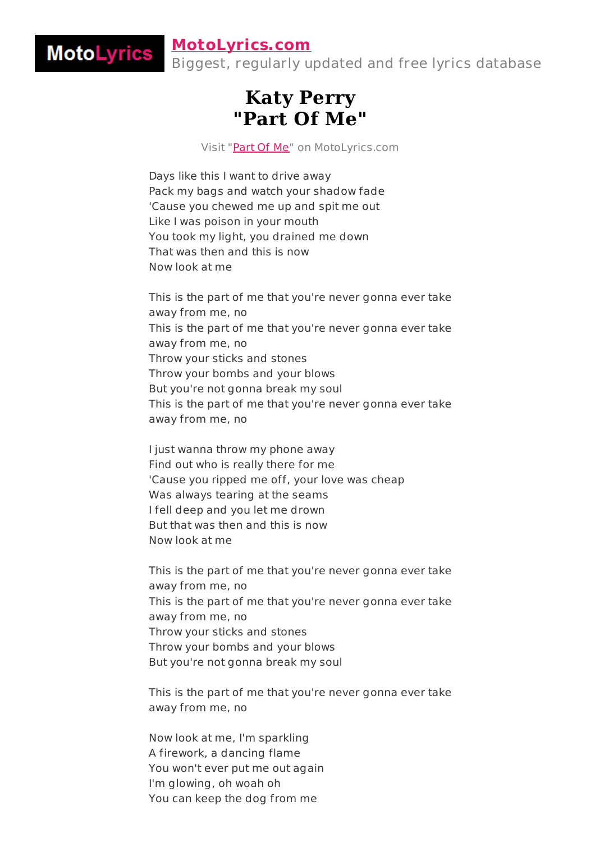## **[MotoLyrics.com](http://motolyrics.com/)**

**MotoLyrics** 

Biggest, regularly updated and free lyrics database

## **Katy Perry "Part Of Me"**

Visit ["Part](http://motolyrics.com/katy-perry/part-of-me-lyrics.html?pdf=1) Of Me" on MotoLyrics.com

Days like this I want to drive away Pack my bags and watch your shadow fade 'Cause you chewed me up and spit me out Like I was poison in your mouth You took my light, you drained me down That was then and this is now Now look at me

This is the part of me that you're never gonna ever take away from me, no This is the part of me that you're never gonna ever take away from me, no Throw your sticks and stones Throw your bombs and your blows But you're not gonna break my soul This is the part of me that you're never gonna ever take away from me, no

I just wanna throw my phone away Find out who is really there for me 'Cause you ripped me off, your love was cheap Was always tearing at the seams I fell deep and you let me drown But that was then and this is now Now look at me

This is the part of me that you're never gonna ever take away from me, no This is the part of me that you're never gonna ever take away from me, no Throw your sticks and stones Throw your bombs and your blows But you're not gonna break my soul

This is the part of me that you're never gonna ever take away from me, no

Now look at me, I'm sparkling A firework, a dancing flame You won't ever put me out again I'm glowing, oh woah oh You can keep the dog from me